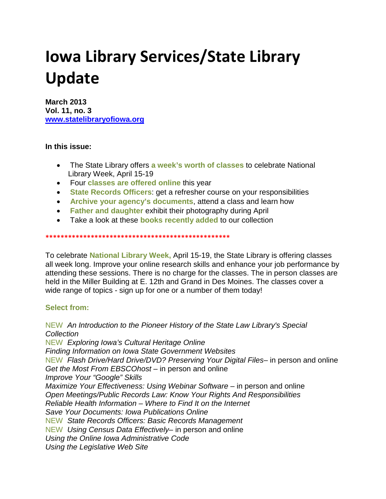# **Iowa Library Services/State Library Update**

**March 2013 Vol. 11, no. 3 [www.statelibraryofiowa.org](http://www.statelibraryofiowa.org/)**

# **In this issue:**

- The State Library offers **a week's worth of classes** to celebrate National Library Week, April 15-19
- Four **classes are offered online** this year
- **State Records Officers**: get a refresher course on your responsibilities
- **Archive your agency's documents**, attend a class and learn how
- **Father and daughter** exhibit their photography during April
- Take a look at these **books recently added** to our collection

**\*\*\*\*\*\*\*\*\*\*\*\*\*\*\*\*\*\*\*\*\*\*\*\*\*\*\*\*\*\*\*\*\*\*\*\*\*\*\*\*\*\*\*\*\*\*\*\*\***

To celebrate **National Library Week,** April 15-19, the State Library is offering classes all week long. Improve your online research skills and enhance your job performance by attending these sessions. There is no charge for the classes. The in person classes are held in the Miller Building at E. 12th and Grand in Des Moines. The classes cover a wide range of topics - sign up for one or a number of them today!

## **Select from:**

NEW *An Introduction to the Pioneer History of the State Law Library's Special Collection* NEW *Exploring Iowa's Cultural Heritage Online Finding Information on Iowa State Government Websites* NEW *Flash Drive/Hard Drive/DVD? Preserving Your Digital Files*– in person and online *Get the Most From EBSCOhost* – in person and online *Improve Your "Google" Skills Maximize Your Effectiveness: Using Webinar Software* – in person and online *Open Meetings/Public Records Law: Know Your Rights And Responsibilities Reliable Health Information – Where to Find It on the Internet Save Your Documents: Iowa Publications Online* NEW *State Records Officers: Basic Records Management* NEW *Using Census Data Effectively*– in person and online *Using the Online Iowa Administrative Code Using the Legislative Web Site*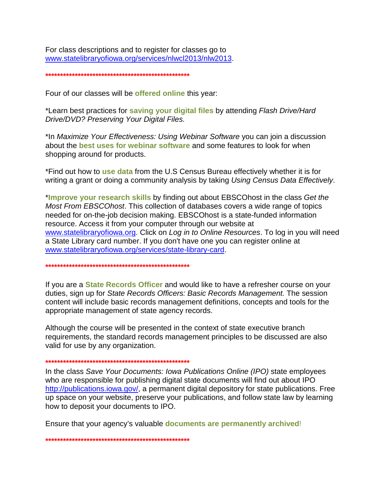For class descriptions and to register for classes go to www.statelibraryofiowa.org/services/nlwcl2013/nlw2013.

#### 

Four of our classes will be offered online this year:

\*Learn best practices for saving your digital files by attending Flash Drive/Hard Drive/DVD? Preserving Your Digital Files.

\*In Maximize Your Effectiveness: Using Webinar Software you can join a discussion about the **best uses for webinar software** and some features to look for when shopping around for products.

\*Find out how to use data from the U.S Census Bureau effectively whether it is for writing a grant or doing a community analysis by taking Using Census Data Effectively.

\*Improve your research skills by finding out about EBSCOhost in the class Get the Most From EBSCOhost. This collection of databases covers a wide range of topics needed for on-the-job decision making. EBSCOhost is a state-funded information resource. Access it from your computer through our website at www.statelibraryofiowa.org. Click on Log in to Online Resources. To log in you will need a State Library card number. If you don't have one you can register online at www.statelibraryofiowa.org/services/state-library-card.

If you are a **State Records Officer** and would like to have a refresher course on your duties, sign up for State Records Officers: Basic Records Management. The session content will include basic records management definitions, concepts and tools for the appropriate management of state agency records.

Although the course will be presented in the context of state executive branch requirements, the standard records management principles to be discussed are also valid for use by any organization.

بالمقاطع والمقاطع والمقاطع والمقاطع والمتحل والمتعاط والمتعاط والمتحادث والمتحادث والمقاطع والمتحادث والمتحادث والمتحادث

In the class Save Your Documents: Iowa Publications Online (IPO) state employees who are responsible for publishing digital state documents will find out about IPO http://publications.jowa.gov/, a permanent digital depository for state publications. Free up space on your website, preserve your publications, and follow state law by learning how to deposit your documents to IPO.

Ensure that your agency's valuable **documents are permanently archived!**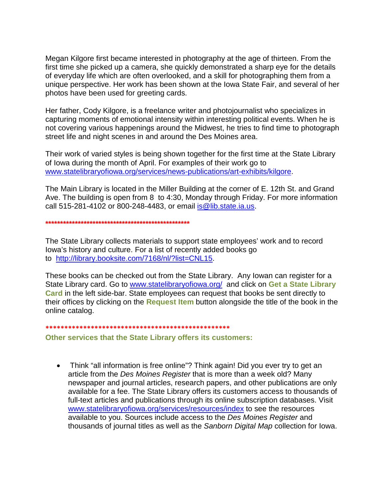Megan Kilgore first became interested in photography at the age of thirteen. From the first time she picked up a camera, she quickly demonstrated a sharp eye for the details of everyday life which are often overlooked, and a skill for photographing them from a unique perspective. Her work has been shown at the Iowa State Fair, and several of her photos have been used for greeting cards.

Her father, Cody Kilgore, is a freelance writer and photojournalist who specializes in capturing moments of emotional intensity within interesting political events. When he is not covering various happenings around the Midwest, he tries to find time to photograph street life and night scenes in and around the Des Moines area.

Their work of varied styles is being shown together for the first time at the State Library of Iowa during the month of April. For examples of their work go to www.statelibraryofiowa.org/services/news-publications/art-exhibits/kilgore.

The Main Library is located in the Miller Building at the corner of E. 12th St. and Grand Ave. The building is open from 8 to 4:30, Monday through Friday. For more information call 515-281-4102 or 800-248-4483, or email is @lib.state.ia.us.

The State Library collects materials to support state employees' work and to record lowa's history and culture. For a list of recently added books go to http://library.booksite.com/7168/nl/?list=CNL15.

These books can be checked out from the State Library. Any lowan can register for a State Library card. Go to www.statelibraryofiowa.org/ and click on Get a State Library Card in the left side-bar. State employees can request that books be sent directly to their offices by clicking on the Request Item button alongside the title of the book in the online catalog.

### 

## Other services that the State Library offers its customers:

• Think "all information is free online"? Think again! Did you ever try to get an article from the Des Moines Register that is more than a week old? Many newspaper and journal articles, research papers, and other publications are only available for a fee. The State Library offers its customers access to thousands of full-text articles and publications through its online subscription databases. Visit www.statelibraryofiowa.org/services/resources/index to see the resources available to you. Sources include access to the Des Moines Register and thousands of journal titles as well as the Sanborn Digital Map collection for Iowa.